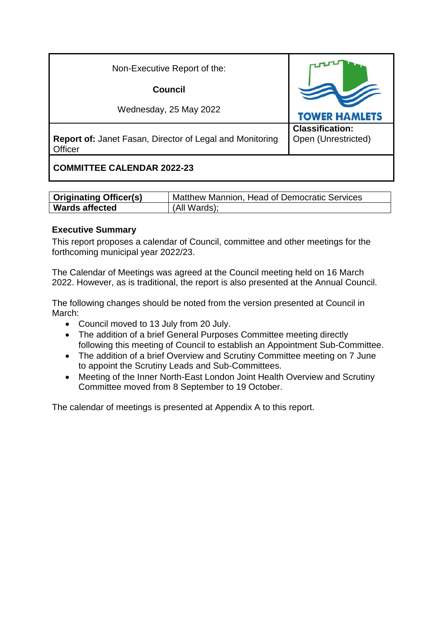| Non-Executive Report of the:                                               |                                               |
|----------------------------------------------------------------------------|-----------------------------------------------|
| <b>Council</b>                                                             |                                               |
| Wednesday, 25 May 2022                                                     | <b>TOWER HAMLETS</b>                          |
| <b>Report of: Janet Fasan, Director of Legal and Monitoring</b><br>Officer | <b>Classification:</b><br>Open (Unrestricted) |
| <b>COMMITTEE CALENDAR 2022-23</b>                                          |                                               |

| <b>Originating Officer(s)</b> | Matthew Mannion, Head of Democratic Services |
|-------------------------------|----------------------------------------------|
| <b>Wards affected</b>         | (All Wards);                                 |

#### **Executive Summary**

This report proposes a calendar of Council, committee and other meetings for the forthcoming municipal year 2022/23.

The Calendar of Meetings was agreed at the Council meeting held on 16 March 2022. However, as is traditional, the report is also presented at the Annual Council.

The following changes should be noted from the version presented at Council in March:

- Council moved to 13 July from 20 July.
- The addition of a brief General Purposes Committee meeting directly following this meeting of Council to establish an Appointment Sub-Committee.
- The addition of a brief Overview and Scrutiny Committee meeting on 7 June to appoint the Scrutiny Leads and Sub-Committees.
- Meeting of the Inner North-East London Joint Health Overview and Scrutiny Committee moved from 8 September to 19 October.

The calendar of meetings is presented at Appendix A to this report.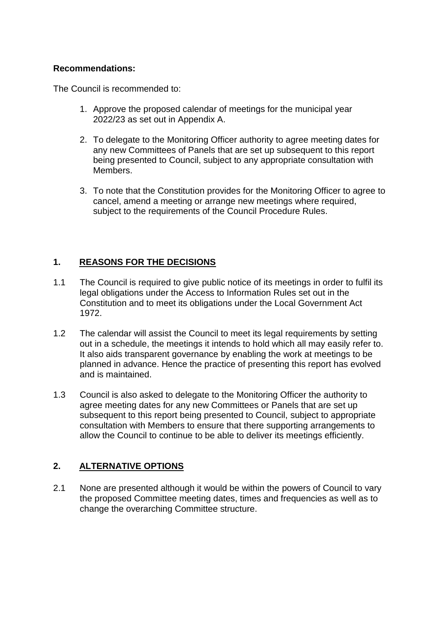#### **Recommendations:**

The Council is recommended to:

- 1. Approve the proposed calendar of meetings for the municipal year 2022/23 as set out in Appendix A.
- 2. To delegate to the Monitoring Officer authority to agree meeting dates for any new Committees of Panels that are set up subsequent to this report being presented to Council, subject to any appropriate consultation with Members.
- 3. To note that the Constitution provides for the Monitoring Officer to agree to cancel, amend a meeting or arrange new meetings where required, subject to the requirements of the Council Procedure Rules.

## **1. REASONS FOR THE DECISIONS**

- 1.1 The Council is required to give public notice of its meetings in order to fulfil its legal obligations under the Access to Information Rules set out in the Constitution and to meet its obligations under the Local Government Act 1972.
- 1.2 The calendar will assist the Council to meet its legal requirements by setting out in a schedule, the meetings it intends to hold which all may easily refer to. It also aids transparent governance by enabling the work at meetings to be planned in advance. Hence the practice of presenting this report has evolved and is maintained.
- 1.3 Council is also asked to delegate to the Monitoring Officer the authority to agree meeting dates for any new Committees or Panels that are set up subsequent to this report being presented to Council, subject to appropriate consultation with Members to ensure that there supporting arrangements to allow the Council to continue to be able to deliver its meetings efficiently.

### **2. ALTERNATIVE OPTIONS**

2.1 None are presented although it would be within the powers of Council to vary the proposed Committee meeting dates, times and frequencies as well as to change the overarching Committee structure.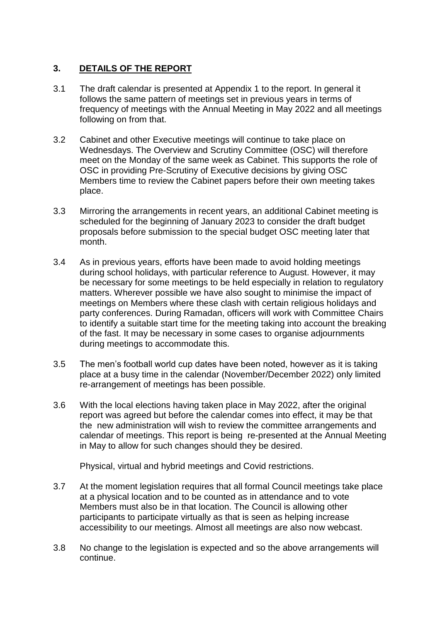## **3. DETAILS OF THE REPORT**

- 3.1 The draft calendar is presented at Appendix 1 to the report. In general it follows the same pattern of meetings set in previous years in terms of frequency of meetings with the Annual Meeting in May 2022 and all meetings following on from that.
- 3.2 Cabinet and other Executive meetings will continue to take place on Wednesdays. The Overview and Scrutiny Committee (OSC) will therefore meet on the Monday of the same week as Cabinet. This supports the role of OSC in providing Pre-Scrutiny of Executive decisions by giving OSC Members time to review the Cabinet papers before their own meeting takes place.
- 3.3 Mirroring the arrangements in recent years, an additional Cabinet meeting is scheduled for the beginning of January 2023 to consider the draft budget proposals before submission to the special budget OSC meeting later that month.
- 3.4 As in previous years, efforts have been made to avoid holding meetings during school holidays, with particular reference to August. However, it may be necessary for some meetings to be held especially in relation to regulatory matters. Wherever possible we have also sought to minimise the impact of meetings on Members where these clash with certain religious holidays and party conferences. During Ramadan, officers will work with Committee Chairs to identify a suitable start time for the meeting taking into account the breaking of the fast. It may be necessary in some cases to organise adjournments during meetings to accommodate this.
- 3.5 The men's football world cup dates have been noted, however as it is taking place at a busy time in the calendar (November/December 2022) only limited re-arrangement of meetings has been possible.
- 3.6 With the local elections having taken place in May 2022, after the original report was agreed but before the calendar comes into effect, it may be that the new administration will wish to review the committee arrangements and calendar of meetings. This report is being re-presented at the Annual Meeting in May to allow for such changes should they be desired.

Physical, virtual and hybrid meetings and Covid restrictions.

- 3.7 At the moment legislation requires that all formal Council meetings take place at a physical location and to be counted as in attendance and to vote Members must also be in that location. The Council is allowing other participants to participate virtually as that is seen as helping increase accessibility to our meetings. Almost all meetings are also now webcast.
- 3.8 No change to the legislation is expected and so the above arrangements will continue.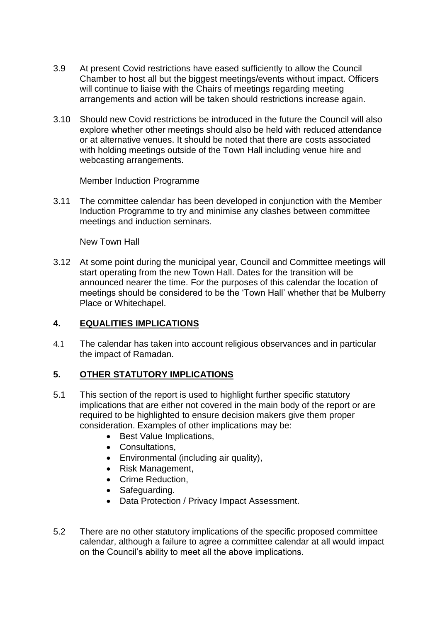- 3.9 At present Covid restrictions have eased sufficiently to allow the Council Chamber to host all but the biggest meetings/events without impact. Officers will continue to liaise with the Chairs of meetings regarding meeting arrangements and action will be taken should restrictions increase again.
- 3.10 Should new Covid restrictions be introduced in the future the Council will also explore whether other meetings should also be held with reduced attendance or at alternative venues. It should be noted that there are costs associated with holding meetings outside of the Town Hall including venue hire and webcasting arrangements.

Member Induction Programme

3.11 The committee calendar has been developed in conjunction with the Member Induction Programme to try and minimise any clashes between committee meetings and induction seminars.

New Town Hall

3.12 At some point during the municipal year, Council and Committee meetings will start operating from the new Town Hall. Dates for the transition will be announced nearer the time. For the purposes of this calendar the location of meetings should be considered to be the 'Town Hall' whether that be Mulberry Place or Whitechapel.

### **4. EQUALITIES IMPLICATIONS**

4.1 The calendar has taken into account religious observances and in particular the impact of Ramadan.

### **5. OTHER STATUTORY IMPLICATIONS**

- 5.1 This section of the report is used to highlight further specific statutory implications that are either not covered in the main body of the report or are required to be highlighted to ensure decision makers give them proper consideration. Examples of other implications may be:
	- Best Value Implications,
	- Consultations,
	- Environmental (including air quality),
	- Risk Management,
	- Crime Reduction,
	- Safeguarding.
	- Data Protection / Privacy Impact Assessment.
- 5.2 There are no other statutory implications of the specific proposed committee calendar, although a failure to agree a committee calendar at all would impact on the Council's ability to meet all the above implications.